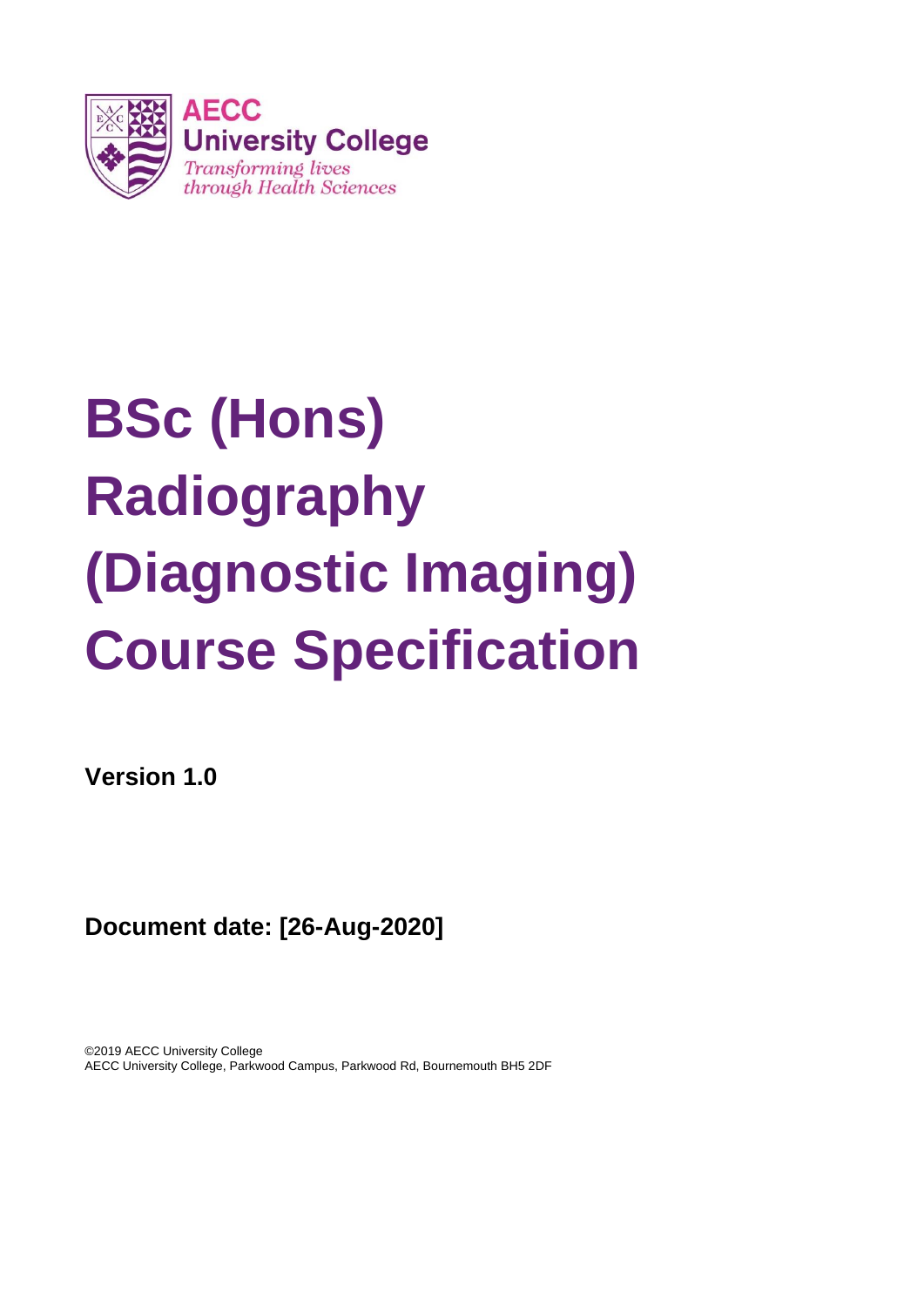

# **BSc (Hons) Radiography (Diagnostic Imaging) Course Specification**

**Version 1.0**

**Document date: [26-Aug-2020]**

©2019 AECC University College AECC University College, Parkwood Campus, Parkwood Rd, Bournemouth BH5 2DF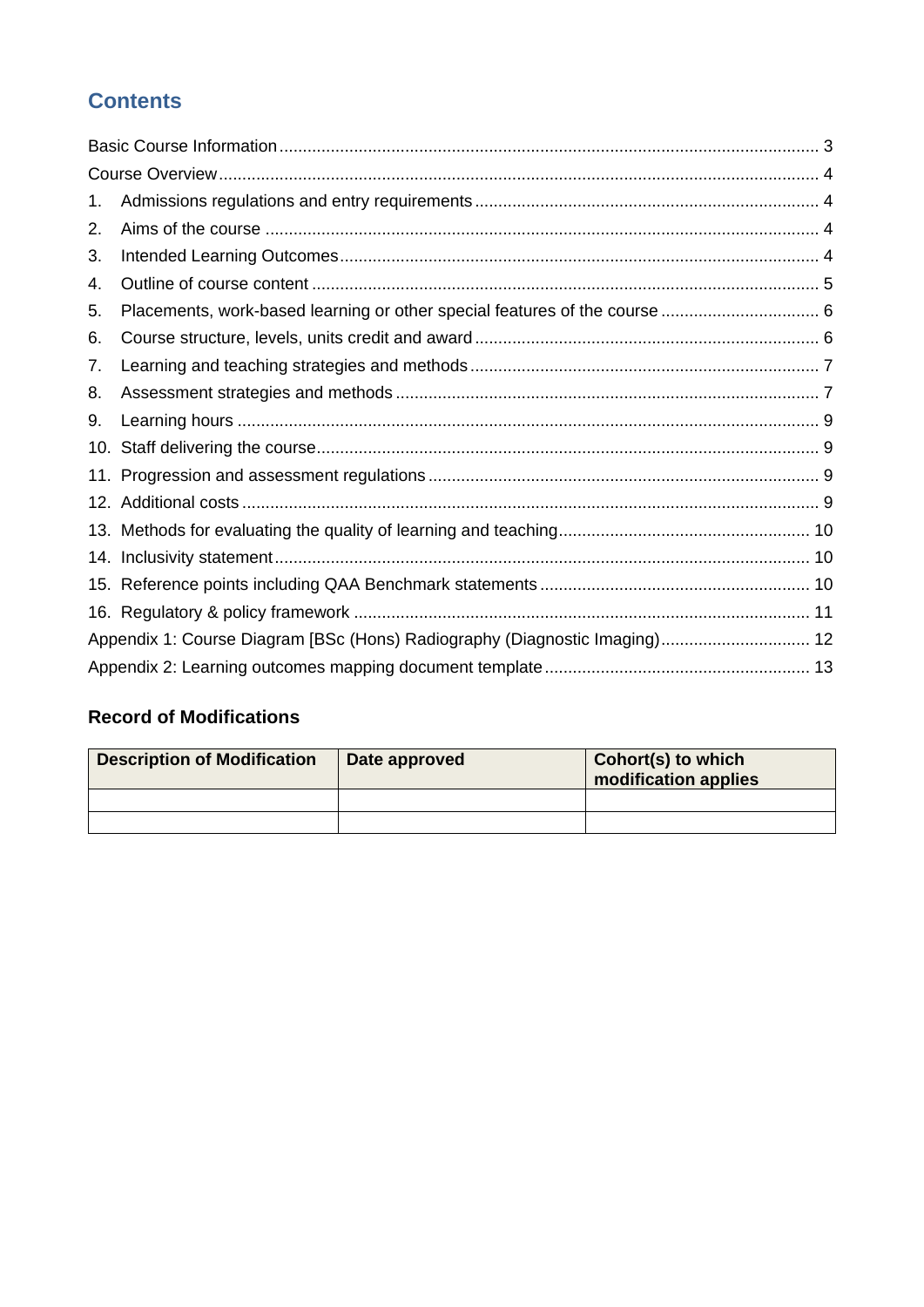# **Contents**

| 1.  |                                                                            |  |
|-----|----------------------------------------------------------------------------|--|
| 2.  |                                                                            |  |
| 3.  |                                                                            |  |
| 4.  |                                                                            |  |
| 5.  | Placements, work-based learning or other special features of the course  6 |  |
| 6.  |                                                                            |  |
| 7.  |                                                                            |  |
| 8.  |                                                                            |  |
| 9.  |                                                                            |  |
| 10. |                                                                            |  |
|     |                                                                            |  |
|     |                                                                            |  |
|     |                                                                            |  |
|     |                                                                            |  |
|     |                                                                            |  |
|     |                                                                            |  |
|     | Appendix 1: Course Diagram [BSc (Hons) Radiography (Diagnostic Imaging) 12 |  |
|     |                                                                            |  |

# **Record of Modifications**

| <b>Description of Modification</b> | Date approved | <b>Cohort(s) to which</b><br>modification applies |
|------------------------------------|---------------|---------------------------------------------------|
|                                    |               |                                                   |
|                                    |               |                                                   |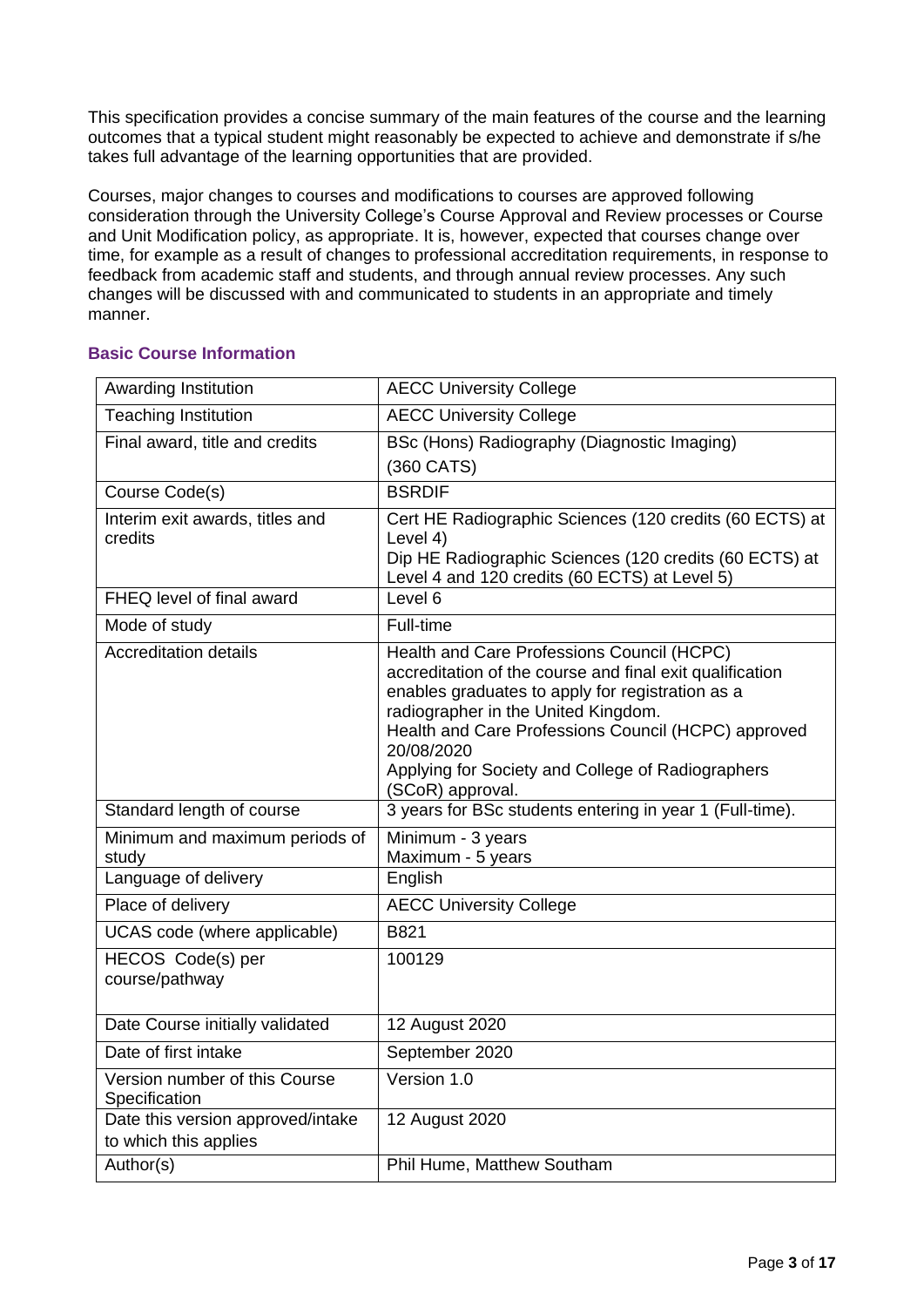This specification provides a concise summary of the main features of the course and the learning outcomes that a typical student might reasonably be expected to achieve and demonstrate if s/he takes full advantage of the learning opportunities that are provided.

Courses, major changes to courses and modifications to courses are approved following consideration through the University College's Course Approval and Review processes or Course and Unit Modification policy, as appropriate. It is, however, expected that courses change over time, for example as a result of changes to professional accreditation requirements, in response to feedback from academic staff and students, and through annual review processes. Any such changes will be discussed with and communicated to students in an appropriate and timely manner.

#### Awarding Institution AECC University College Teaching Institution **AECC University College** Final award, title and credits **BSc** (Hons) Radiography (Diagnostic Imaging) (360 CATS) Course Code(s) BSRDIF Interim exit awards, titles and credits Cert HE Radiographic Sciences (120 credits (60 ECTS) at Level 4) Dip HE Radiographic Sciences (120 credits (60 ECTS) at Level 4 and 120 credits (60 ECTS) at Level 5) FHEQ level of final award Level 6 Mode of study Full-time Accreditation details **Health and Care Professions Council (HCPC)** accreditation of the course and final exit qualification enables graduates to apply for registration as a radiographer in the United Kingdom. Health and Care Professions Council (HCPC) approved 20/08/2020 Applying for Society and College of Radiographers (SCoR) approval. Standard length of course 3 years for BSc students entering in year 1 (Full-time). Minimum and maximum periods of study Minimum - 3 years Maximum - 5 years Language of delivery **English** Place of delivery **AECC** University College UCAS code (where applicable) | B821 HECOS Code(s) per course/pathway 100129 Date Course initially validated | 12 August 2020 Date of first intake September 2020 Version number of this Course **Specification** Version 1.0 Date this version approved/intake to which this applies 12 August 2020 Author(s) Phil Hume, Matthew Southam

# <span id="page-2-0"></span>**Basic Course Information**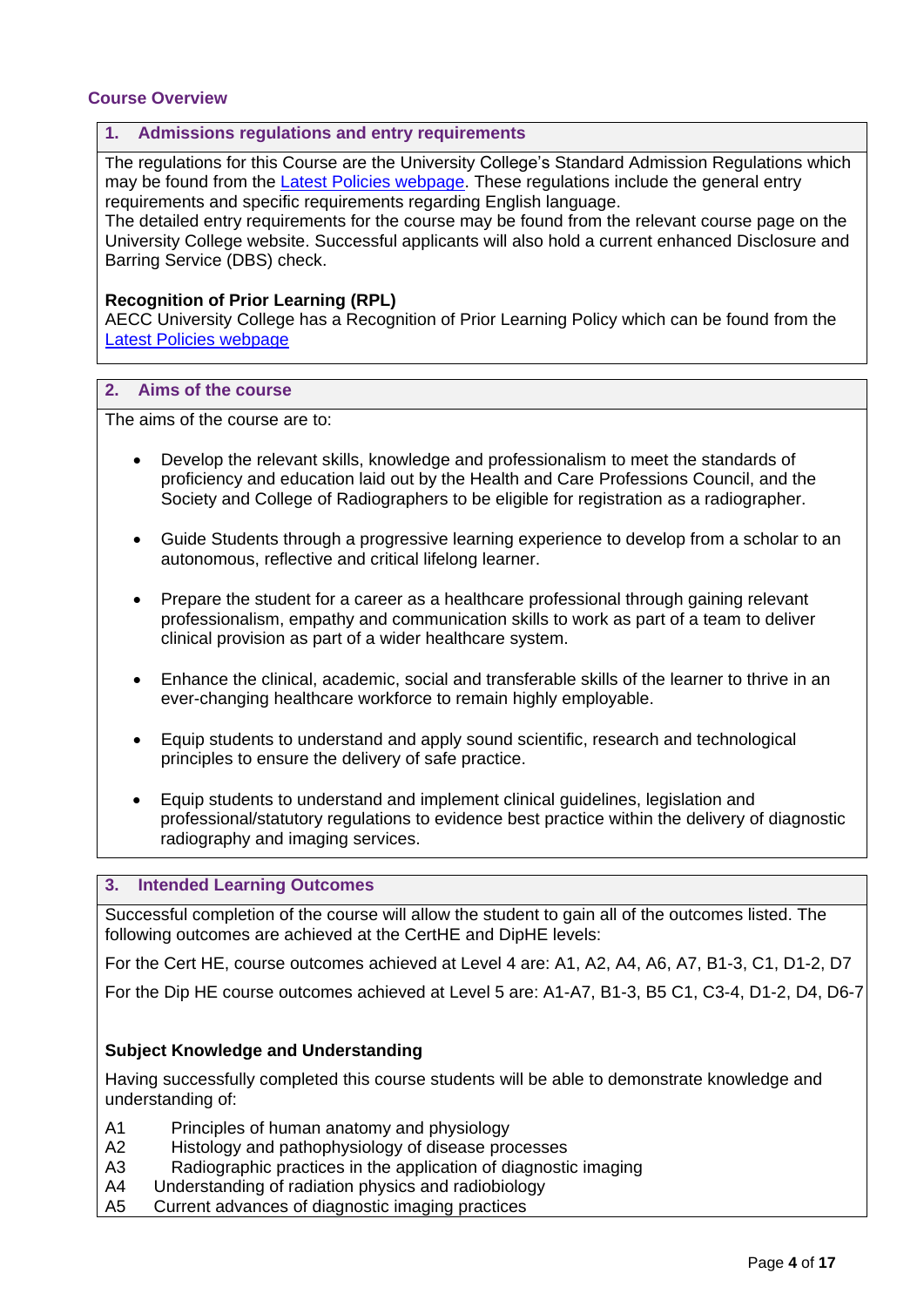# <span id="page-3-0"></span>**Course Overview**

#### <span id="page-3-1"></span>**1. Admissions regulations and entry requirements**

The regulations for this Course are the University College's Standard Admission Regulations which may be found from the **Latest Policies webpage**. These regulations include the general entry requirements and specific requirements regarding English language.

The detailed entry requirements for the course may be found from the relevant course page on the University College website. Successful applicants will also hold a current enhanced Disclosure and Barring Service (DBS) check.

#### **Recognition of Prior Learning (RPL)**

AECC University College has a [Recognition of Prior Learning Policy](http://www.southampton.ac.uk/quality/assessment/prior_learning.page?) which can be found from the [Latest Policies webpage](https://www.aecc.ac.uk/about/how-we-work/latest-policies/)

#### <span id="page-3-2"></span>**2. Aims of the course**

The aims of the course are to:

- Develop the relevant skills, knowledge and professionalism to meet the standards of proficiency and education laid out by the Health and Care Professions Council, and the Society and College of Radiographers to be eligible for registration as a radiographer.
- Guide Students through a progressive learning experience to develop from a scholar to an autonomous, reflective and critical lifelong learner.
- Prepare the student for a career as a healthcare professional through gaining relevant professionalism, empathy and communication skills to work as part of a team to deliver clinical provision as part of a wider healthcare system.
- Enhance the clinical, academic, social and transferable skills of the learner to thrive in an ever-changing healthcare workforce to remain highly employable.
- Equip students to understand and apply sound scientific, research and technological principles to ensure the delivery of safe practice.
- Equip students to understand and implement clinical guidelines, legislation and professional/statutory regulations to evidence best practice within the delivery of diagnostic radiography and imaging services.

# <span id="page-3-3"></span>**3. Intended Learning Outcomes**

Successful completion of the course will allow the student to gain all of the outcomes listed. The following outcomes are achieved at the CertHE and DipHE levels:

For the Cert HE, course outcomes achieved at Level 4 are: A1, A2, A4, A6, A7, B1-3, C1, D1-2, D7

For the Dip HE course outcomes achieved at Level 5 are: A1-A7, B1-3, B5 C1, C3-4, D1-2, D4, D6-7

# **Subject Knowledge and Understanding**

Having successfully completed this course students will be able to demonstrate knowledge and understanding of:

- A1 Principles of human anatomy and physiology
- A2 Histology and pathophysiology of disease processes
- A3 Radiographic practices in the application of diagnostic imaging
- A4 Understanding of radiation physics and radiobiology
- A5 Current advances of diagnostic imaging practices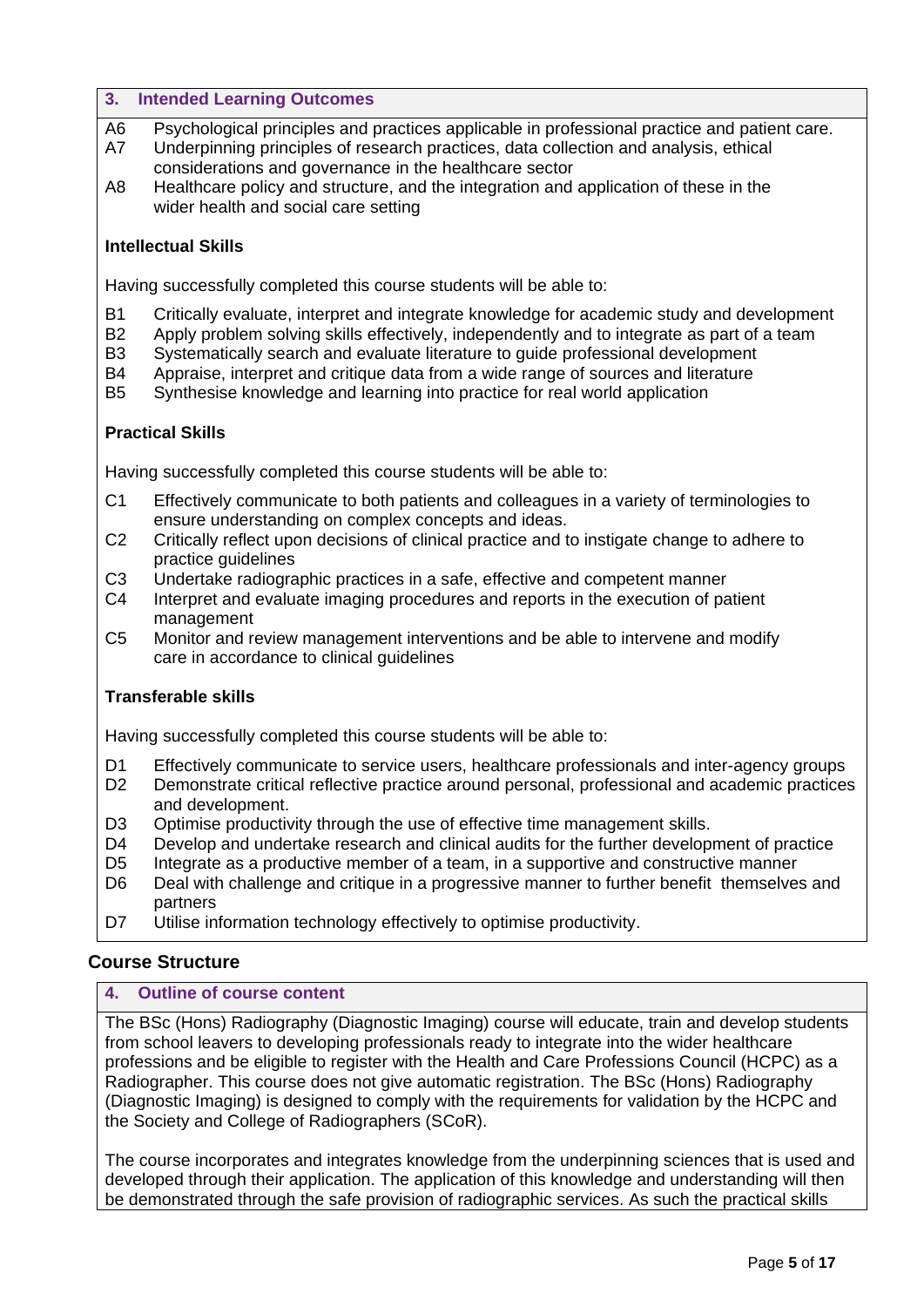#### **3. Intended Learning Outcomes**

- A6 Psychological principles and practices applicable in professional practice and patient care.
- A7 Underpinning principles of research practices, data collection and analysis, ethical considerations and governance in the healthcare sector
- A8 Healthcare policy and structure, and the integration and application of these in the wider health and social care setting

# **Intellectual Skills**

Having successfully completed this course students will be able to:

- B1 Critically evaluate, interpret and integrate knowledge for academic study and development
- B2 Apply problem solving skills effectively, independently and to integrate as part of a team
- B3 Systematically search and evaluate literature to guide professional development
- B4 Appraise, interpret and critique data from a wide range of sources and literature
- B5 Synthesise knowledge and learning into practice for real world application

# **Practical Skills**

Having successfully completed this course students will be able to:

- C1 Effectively communicate to both patients and colleagues in a variety of terminologies to ensure understanding on complex concepts and ideas.
- C2 Critically reflect upon decisions of clinical practice and to instigate change to adhere to practice guidelines
- C3 Undertake radiographic practices in a safe, effective and competent manner
- C4 Interpret and evaluate imaging procedures and reports in the execution of patient management
- C5 Monitor and review management interventions and be able to intervene and modify care in accordance to clinical guidelines

# **Transferable skills**

Having successfully completed this course students will be able to:

- D1 Effectively communicate to service users, healthcare professionals and inter-agency groups
- D2 Demonstrate critical reflective practice around personal, professional and academic practices and development.
- D3 Optimise productivity through the use of effective time management skills.
- D4 Develop and undertake research and clinical audits for the further development of practice
- D5 Integrate as a productive member of a team, in a supportive and constructive manner
- D6 Deal with challenge and critique in a progressive manner to further benefit themselves and partners
- D7 Utilise information technology effectively to optimise productivity.

# **Course Structure**

# <span id="page-4-0"></span>**4. Outline of course content**

The BSc (Hons) Radiography (Diagnostic Imaging) course will educate, train and develop students from school leavers to developing professionals ready to integrate into the wider healthcare professions and be eligible to register with the Health and Care Professions Council (HCPC) as a Radiographer. This course does not give automatic registration. The BSc (Hons) Radiography (Diagnostic Imaging) is designed to comply with the requirements for validation by the HCPC and the Society and College of Radiographers (SCoR).

The course incorporates and integrates knowledge from the underpinning sciences that is used and developed through their application. The application of this knowledge and understanding will then be demonstrated through the safe provision of radiographic services. As such the practical skills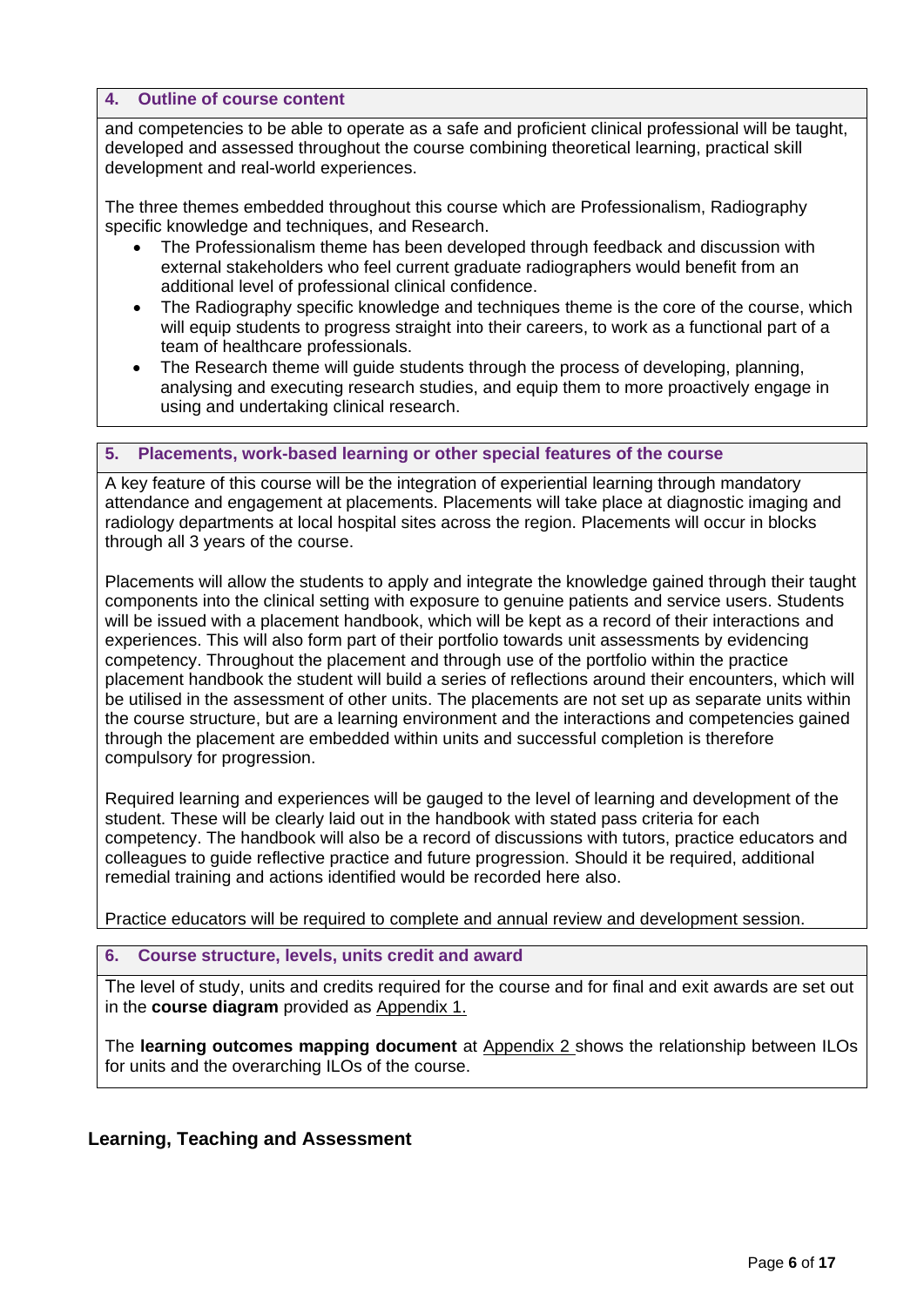#### **4. Outline of course content**

and competencies to be able to operate as a safe and proficient clinical professional will be taught, developed and assessed throughout the course combining theoretical learning, practical skill development and real-world experiences.

The three themes embedded throughout this course which are Professionalism, Radiography specific knowledge and techniques, and Research.

- The Professionalism theme has been developed through feedback and discussion with external stakeholders who feel current graduate radiographers would benefit from an additional level of professional clinical confidence.
- The Radiography specific knowledge and techniques theme is the core of the course, which will equip students to progress straight into their careers, to work as a functional part of a team of healthcare professionals.
- The Research theme will guide students through the process of developing, planning, analysing and executing research studies, and equip them to more proactively engage in using and undertaking clinical research.

# <span id="page-5-0"></span>**5. Placements, work-based learning or other special features of the course**

A key feature of this course will be the integration of experiential learning through mandatory attendance and engagement at placements. Placements will take place at diagnostic imaging and radiology departments at local hospital sites across the region. Placements will occur in blocks through all 3 years of the course.

Placements will allow the students to apply and integrate the knowledge gained through their taught components into the clinical setting with exposure to genuine patients and service users. Students will be issued with a placement handbook, which will be kept as a record of their interactions and experiences. This will also form part of their portfolio towards unit assessments by evidencing competency. Throughout the placement and through use of the portfolio within the practice placement handbook the student will build a series of reflections around their encounters, which will be utilised in the assessment of other units. The placements are not set up as separate units within the course structure, but are a learning environment and the interactions and competencies gained through the placement are embedded within units and successful completion is therefore compulsory for progression.

Required learning and experiences will be gauged to the level of learning and development of the student. These will be clearly laid out in the handbook with stated pass criteria for each competency. The handbook will also be a record of discussions with tutors, practice educators and colleagues to guide reflective practice and future progression. Should it be required, additional remedial training and actions identified would be recorded here also.

Practice educators will be required to complete and annual review and development session.

#### <span id="page-5-1"></span>**6. Course structure, levels, units credit and award**

The level of study, units and credits required for the course and for final and exit awards are set out in the **course diagram** provided as Appendix 1.

The **learning outcomes mapping document** at Appendix 2 shows the relationship between ILOs for units and the overarching ILOs of the course.

# **Learning, Teaching and Assessment**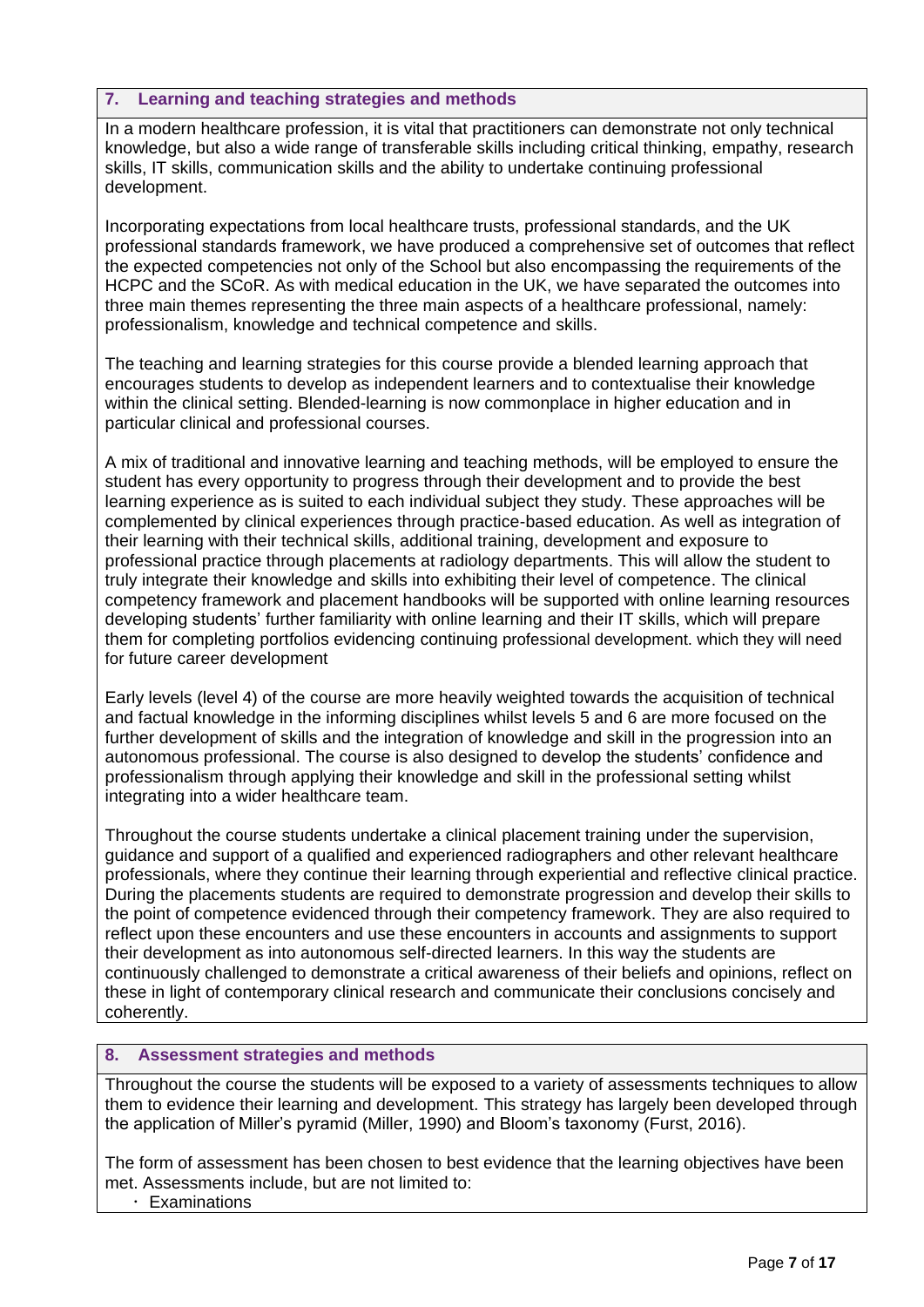# <span id="page-6-0"></span>**7. Learning and teaching strategies and methods**

In a modern healthcare profession, it is vital that practitioners can demonstrate not only technical knowledge, but also a wide range of transferable skills including critical thinking, empathy, research skills, IT skills, communication skills and the ability to undertake continuing professional development.

Incorporating expectations from local healthcare trusts, professional standards, and the UK professional standards framework, we have produced a comprehensive set of outcomes that reflect the expected competencies not only of the School but also encompassing the requirements of the HCPC and the SCoR. As with medical education in the UK, we have separated the outcomes into three main themes representing the three main aspects of a healthcare professional, namely: professionalism, knowledge and technical competence and skills.

The teaching and learning strategies for this course provide a blended learning approach that encourages students to develop as independent learners and to contextualise their knowledge within the clinical setting. Blended-learning is now commonplace in higher education and in particular clinical and professional courses.

A mix of traditional and innovative learning and teaching methods, will be employed to ensure the student has every opportunity to progress through their development and to provide the best learning experience as is suited to each individual subject they study. These approaches will be complemented by clinical experiences through practice-based education. As well as integration of their learning with their technical skills, additional training, development and exposure to professional practice through placements at radiology departments. This will allow the student to truly integrate their knowledge and skills into exhibiting their level of competence. The clinical competency framework and placement handbooks will be supported with online learning resources developing students' further familiarity with online learning and their IT skills, which will prepare them for completing portfolios evidencing continuing professional development. which they will need for future career development

Early levels (level 4) of the course are more heavily weighted towards the acquisition of technical and factual knowledge in the informing disciplines whilst levels 5 and 6 are more focused on the further development of skills and the integration of knowledge and skill in the progression into an autonomous professional. The course is also designed to develop the students' confidence and professionalism through applying their knowledge and skill in the professional setting whilst integrating into a wider healthcare team.

Throughout the course students undertake a clinical placement training under the supervision, guidance and support of a qualified and experienced radiographers and other relevant healthcare professionals, where they continue their learning through experiential and reflective clinical practice. During the placements students are required to demonstrate progression and develop their skills to the point of competence evidenced through their competency framework. They are also required to reflect upon these encounters and use these encounters in accounts and assignments to support their development as into autonomous self-directed learners. In this way the students are continuously challenged to demonstrate a critical awareness of their beliefs and opinions, reflect on these in light of contemporary clinical research and communicate their conclusions concisely and coherently.

# <span id="page-6-1"></span>**8. Assessment strategies and methods**

Throughout the course the students will be exposed to a variety of assessments techniques to allow them to evidence their learning and development. This strategy has largely been developed through the application of Miller's pyramid (Miller, 1990) and Bloom's taxonomy (Furst, 2016).

The form of assessment has been chosen to best evidence that the learning objectives have been met. Assessments include, but are not limited to:

Examinations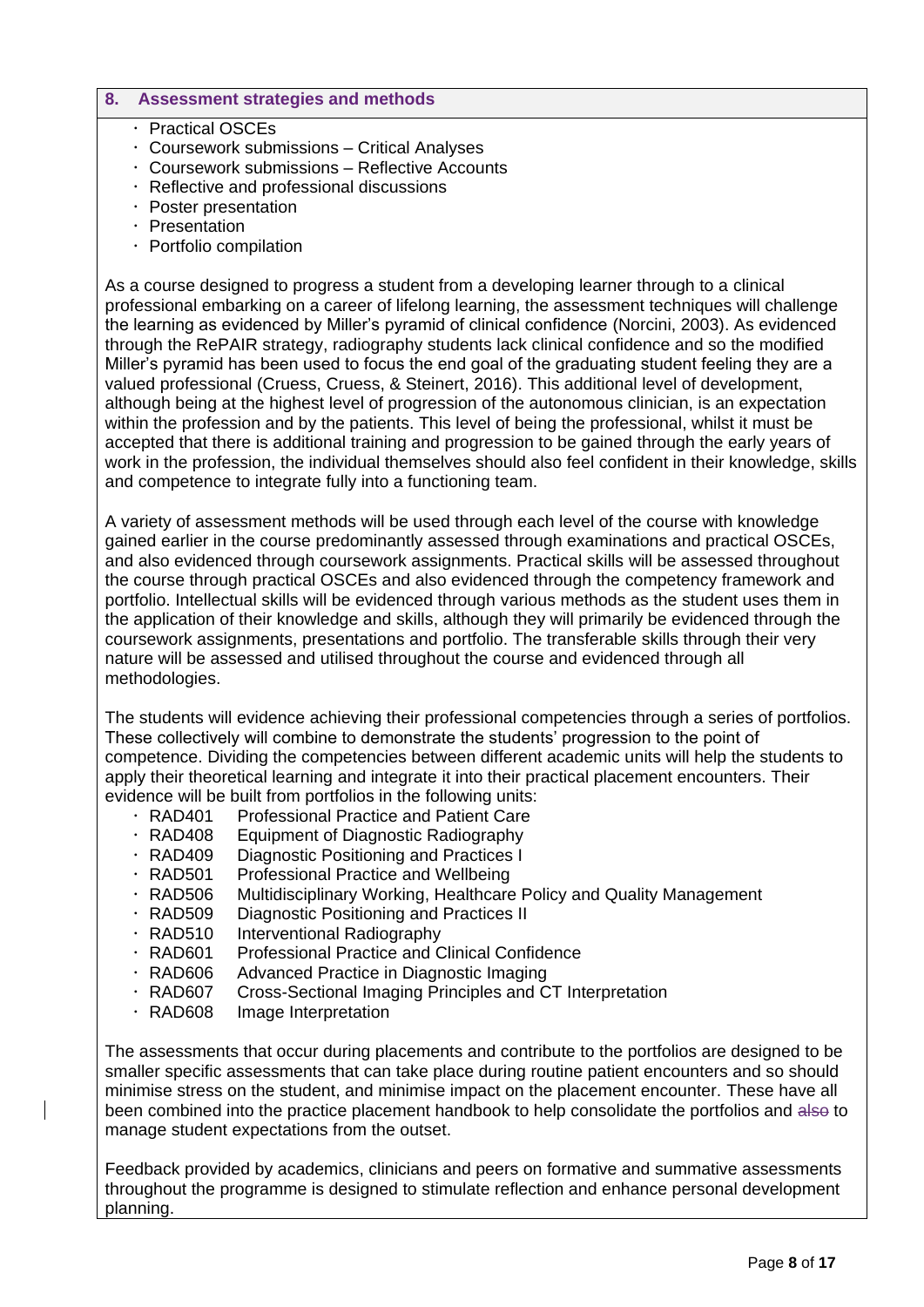# **8. Assessment strategies and methods**

- **· Practical OSCEs**
- Coursework submissions Critical Analyses
- Coursework submissions Reflective Accounts
- Reflective and professional discussions
- Poster presentation
- · Presentation
- Portfolio compilation

As a course designed to progress a student from a developing learner through to a clinical professional embarking on a career of lifelong learning, the assessment techniques will challenge the learning as evidenced by Miller's pyramid of clinical confidence (Norcini, 2003). As evidenced through the RePAIR strategy, radiography students lack clinical confidence and so the modified Miller's pyramid has been used to focus the end goal of the graduating student feeling they are a valued professional (Cruess, Cruess, & Steinert, 2016). This additional level of development, although being at the highest level of progression of the autonomous clinician, is an expectation within the profession and by the patients. This level of being the professional, whilst it must be accepted that there is additional training and progression to be gained through the early years of work in the profession, the individual themselves should also feel confident in their knowledge, skills and competence to integrate fully into a functioning team.

A variety of assessment methods will be used through each level of the course with knowledge gained earlier in the course predominantly assessed through examinations and practical OSCEs, and also evidenced through coursework assignments. Practical skills will be assessed throughout the course through practical OSCEs and also evidenced through the competency framework and portfolio. Intellectual skills will be evidenced through various methods as the student uses them in the application of their knowledge and skills, although they will primarily be evidenced through the coursework assignments, presentations and portfolio. The transferable skills through their very nature will be assessed and utilised throughout the course and evidenced through all methodologies.

The students will evidence achieving their professional competencies through a series of portfolios. These collectively will combine to demonstrate the students' progression to the point of competence. Dividing the competencies between different academic units will help the students to apply their theoretical learning and integrate it into their practical placement encounters. Their evidence will be built from portfolios in the following units:

- RAD401 Professional Practice and Patient Care
- RAD408 Equipment of Diagnostic Radiography
- RAD409 Diagnostic Positioning and Practices I
- RAD501 Professional Practice and Wellbeing
- RAD506 Multidisciplinary Working, Healthcare Policy and Quality Management
- RAD509 Diagnostic Positioning and Practices II
- RAD510 Interventional Radiography
- RAD601 Professional Practice and Clinical Confidence
- RAD606 Advanced Practice in Diagnostic Imaging
- RAD607 Cross-Sectional Imaging Principles and CT Interpretation
- RAD608 Image Interpretation

The assessments that occur during placements and contribute to the portfolios are designed to be smaller specific assessments that can take place during routine patient encounters and so should minimise stress on the student, and minimise impact on the placement encounter. These have all been combined into the practice placement handbook to help consolidate the portfolios and also to manage student expectations from the outset.

Feedback provided by academics, clinicians and peers on formative and summative assessments throughout the programme is designed to stimulate reflection and enhance personal development planning.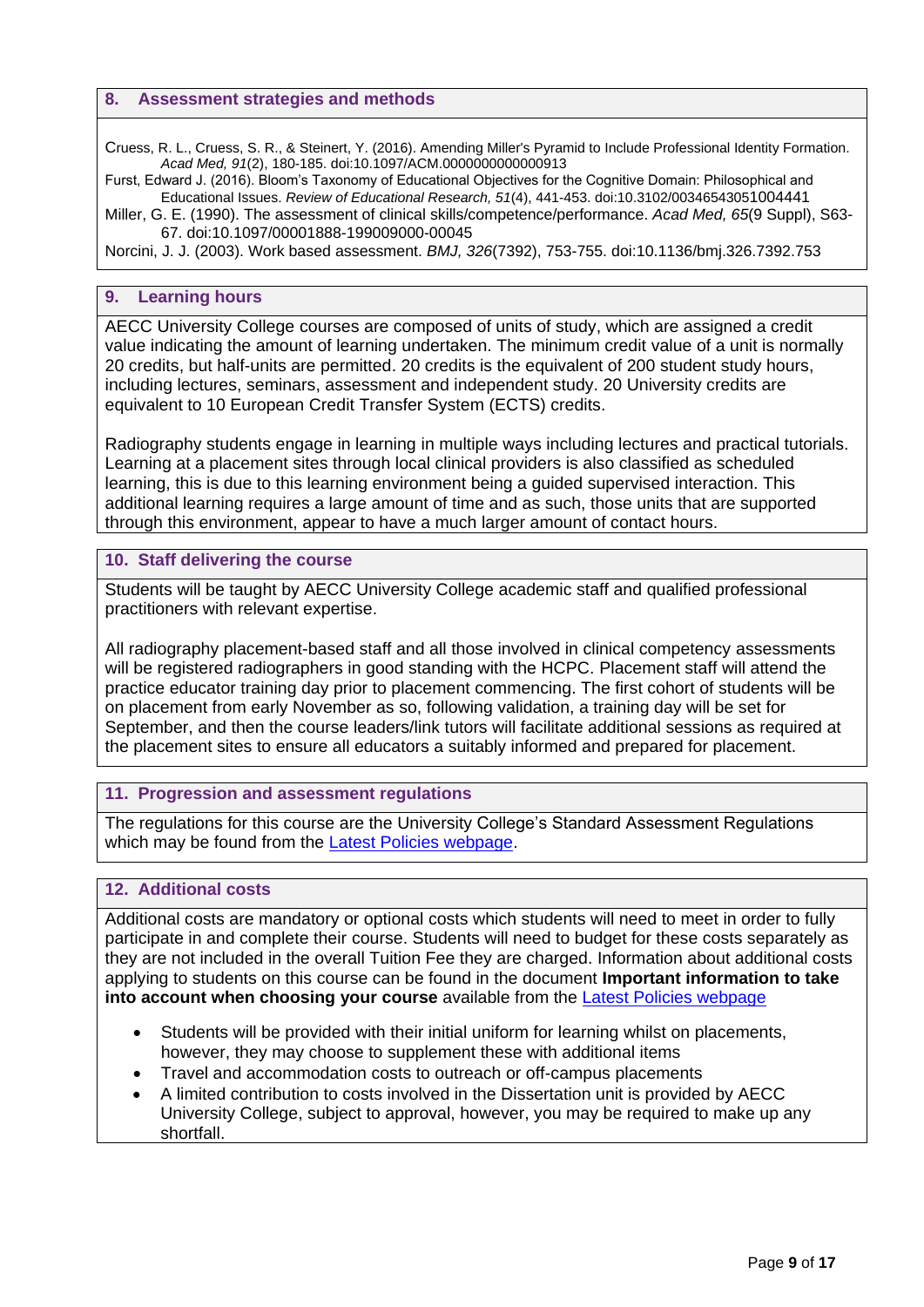#### **8. Assessment strategies and methods**

Cruess, R. L., Cruess, S. R., & Steinert, Y. (2016). Amending Miller's Pyramid to Include Professional Identity Formation. *Acad Med, 91*(2), 180-185. doi:10.1097/ACM.0000000000000913

Furst, Edward J. (2016). Bloom's Taxonomy of Educational Objectives for the Cognitive Domain: Philosophical and Educational Issues. *Review of Educational Research, 51*(4), 441-453. doi:10.3102/00346543051004441

Miller, G. E. (1990). The assessment of clinical skills/competence/performance. *Acad Med, 65*(9 Suppl), S63- 67. doi:10.1097/00001888-199009000-00045

Norcini, J. J. (2003). Work based assessment. *BMJ, 326*(7392), 753-755. doi:10.1136/bmj.326.7392.753

#### <span id="page-8-0"></span>**9. Learning hours**

AECC University College courses are composed of units of study, which are assigned a credit value indicating the amount of learning undertaken. The minimum credit value of a unit is normally 20 credits, but half-units are permitted. 20 credits is the equivalent of 200 student study hours, including lectures, seminars, assessment and independent study. 20 University credits are equivalent to 10 European Credit Transfer System (ECTS) credits.

Radiography students engage in learning in multiple ways including lectures and practical tutorials. Learning at a placement sites through local clinical providers is also classified as scheduled learning, this is due to this learning environment being a guided supervised interaction. This additional learning requires a large amount of time and as such, those units that are supported through this environment, appear to have a much larger amount of contact hours.

#### <span id="page-8-1"></span>**10. Staff delivering the course**

Students will be taught by AECC University College academic staff and qualified professional practitioners with relevant expertise.

All radiography placement-based staff and all those involved in clinical competency assessments will be registered radiographers in good standing with the HCPC. Placement staff will attend the practice educator training day prior to placement commencing. The first cohort of students will be on placement from early November as so, following validation, a training day will be set for September, and then the course leaders/link tutors will facilitate additional sessions as required at the placement sites to ensure all educators a suitably informed and prepared for placement.

#### <span id="page-8-2"></span>**11. Progression and assessment regulations**

The regulations for this course are the University College's Standard Assessment Regulations which may be found from the [Latest Policies webpage.](https://www.aecc.ac.uk/about/how-we-work/latest-policies/)

#### <span id="page-8-3"></span>**12. Additional costs**

Additional costs are mandatory or optional costs which students will need to meet in order to fully participate in and complete their course. Students will need to budget for these costs separately as they are not included in the overall Tuition Fee they are charged. Information about additional costs applying to students on this course can be found in the document **Important information to take into account when choosing your course** available from the [Latest Policies webpage](https://www.aecc.ac.uk/about/how-we-work/latest-policies/)

- Students will be provided with their initial uniform for learning whilst on placements, however, they may choose to supplement these with additional items
- Travel and accommodation costs to outreach or off-campus placements
- A limited contribution to costs involved in the Dissertation unit is provided by AECC University College, subject to approval, however, you may be required to make up any shortfall.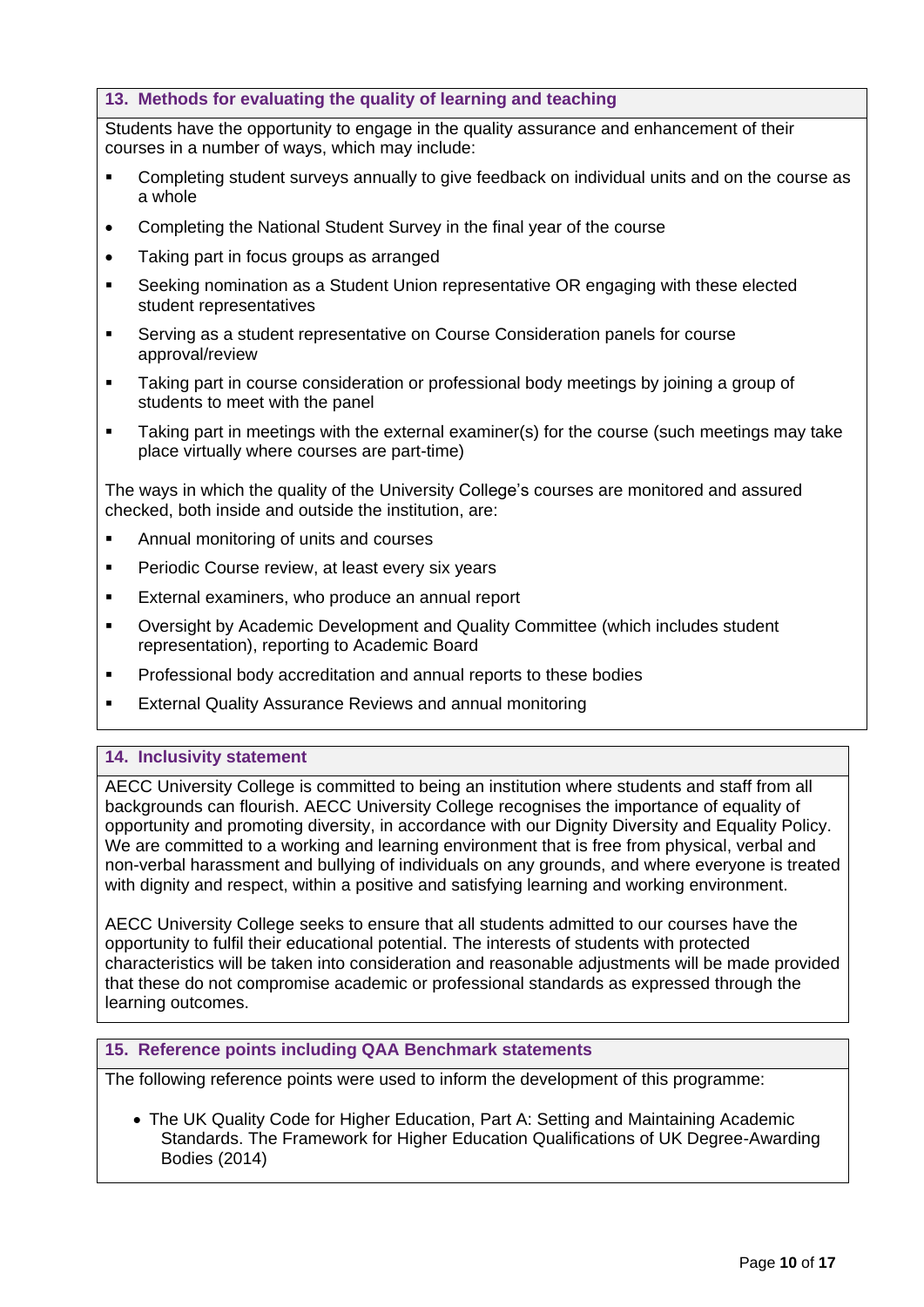# <span id="page-9-0"></span>**13. Methods for evaluating the quality of learning and teaching**

Students have the opportunity to engage in the quality assurance and enhancement of their courses in a number of ways, which may include:

- **•** Completing student surveys annually to give feedback on individual units and on the course as a whole
- Completing the National Student Survey in the final year of the course
- Taking part in focus groups as arranged
- Seeking nomination as a Student Union representative OR engaging with these elected student representatives
- Serving as a student representative on Course Consideration panels for course approval/review
- Taking part in course consideration or professional body meetings by joining a group of students to meet with the panel
- Taking part in meetings with the external examiner(s) for the course (such meetings may take place virtually where courses are part-time)

The ways in which the quality of the University College's courses are monitored and assured checked, both inside and outside the institution, are:

- **Annual monitoring of units and courses**
- **Periodic Course review, at least every six years**
- External examiners, who produce an annual report
- Oversight by Academic Development and Quality Committee (which includes student representation), reporting to Academic Board
- **•** Professional body accreditation and annual reports to these bodies
- **External Quality Assurance Reviews and annual monitoring**

# <span id="page-9-1"></span>**14. Inclusivity statement**

AECC University College is committed to being an institution where students and staff from all backgrounds can flourish. AECC University College recognises the importance of equality of opportunity and promoting diversity, in accordance with our Dignity Diversity and Equality Policy. We are committed to a working and learning environment that is free from physical, verbal and non-verbal harassment and bullying of individuals on any grounds, and where everyone is treated with dignity and respect, within a positive and satisfying learning and working environment.

AECC University College seeks to ensure that all students admitted to our courses have the opportunity to fulfil their educational potential. The interests of students with protected characteristics will be taken into consideration and reasonable adjustments will be made provided that these do not compromise academic or professional standards as expressed through the learning outcomes.

#### <span id="page-9-2"></span>**15. Reference points including QAA Benchmark statements**

The following reference points were used to inform the development of this programme:

• The UK Quality Code for Higher Education, Part A: Setting and Maintaining Academic Standards. The Framework for Higher Education Qualifications of UK Degree-Awarding Bodies (2014)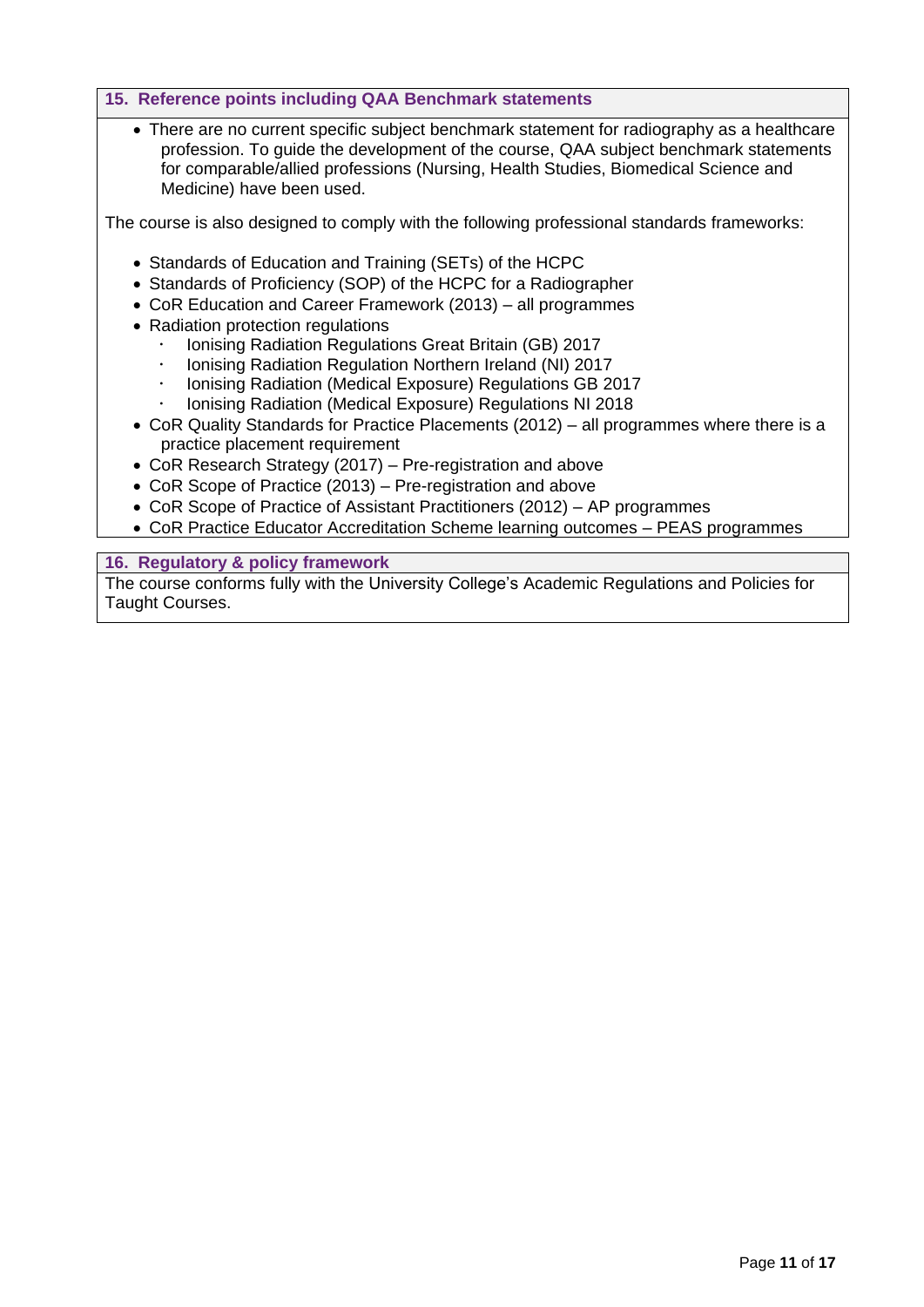# **15. Reference points including QAA Benchmark statements**

• There are no current specific subject benchmark statement for radiography as a healthcare profession. To guide the development of the course, QAA subject benchmark statements for comparable/allied professions (Nursing, Health Studies, Biomedical Science and Medicine) have been used.

The course is also designed to comply with the following professional standards frameworks:

- Standards of Education and Training (SETs) of the HCPC
- Standards of Proficiency (SOP) of the HCPC for a Radiographer
- CoR Education and Career Framework (2013) all programmes
- Radiation protection regulations
	- Ionising Radiation Regulations Great Britain (GB) 2017
	- Ionising Radiation Regulation Northern Ireland (NI) 2017
	- Ionising Radiation (Medical Exposure) Regulations GB 2017
	- Ionising Radiation (Medical Exposure) Regulations NI 2018
- CoR Quality Standards for Practice Placements (2012) all programmes where there is a practice placement requirement
- CoR Research Strategy (2017) Pre-registration and above
- CoR Scope of Practice (2013) Pre-registration and above
- CoR Scope of Practice of Assistant Practitioners (2012) AP programmes
- CoR Practice Educator Accreditation Scheme learning outcomes PEAS programmes

# <span id="page-10-0"></span>**16. Regulatory & policy framework**

The course conforms fully with the University College's Academic Regulations and Policies for Taught Courses.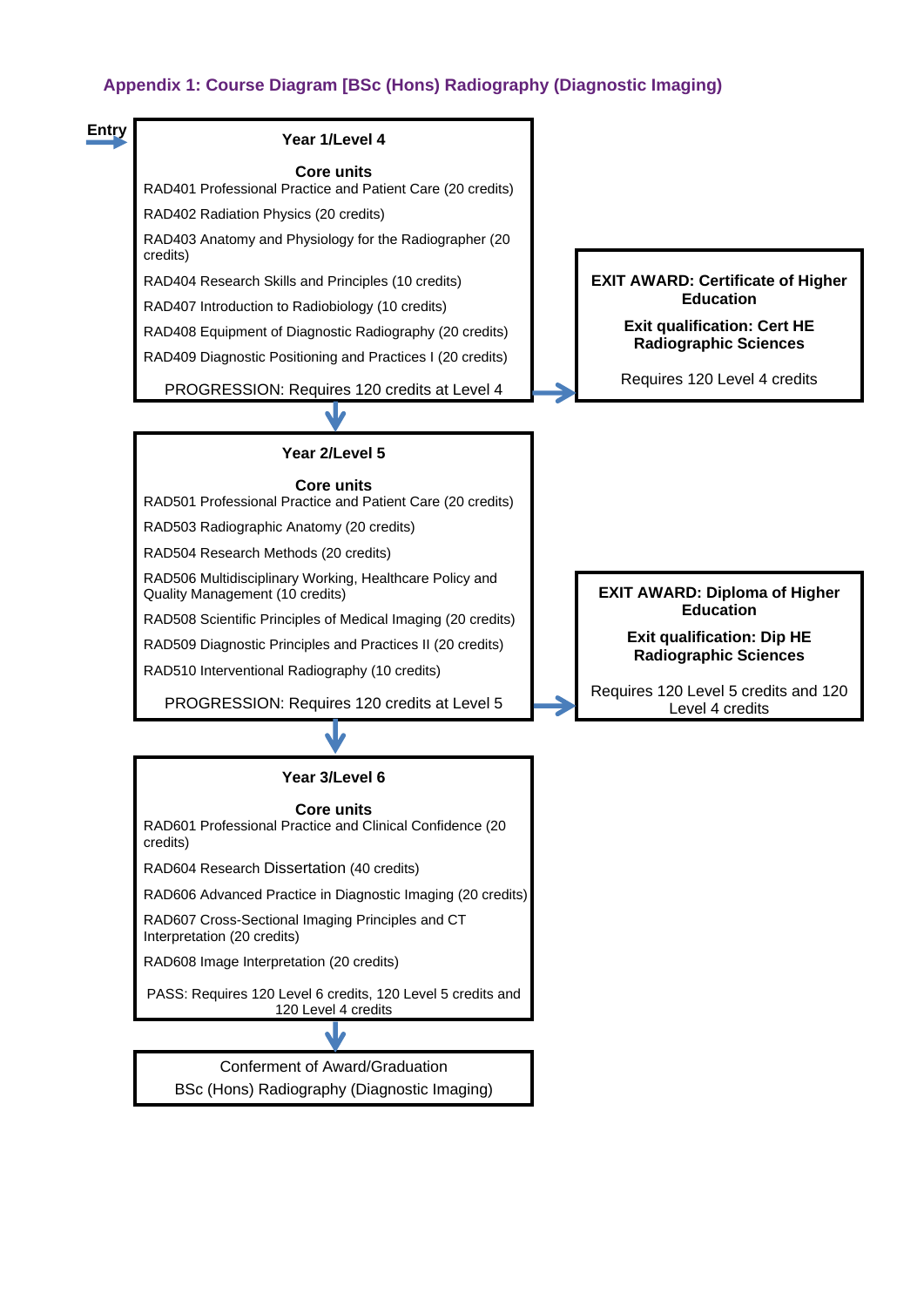# **Appendix 1: Course Diagram [BSc (Hons) Radiography (Diagnostic Imaging)**

<span id="page-11-0"></span>

BSc (Hons) Radiography (Diagnostic Imaging)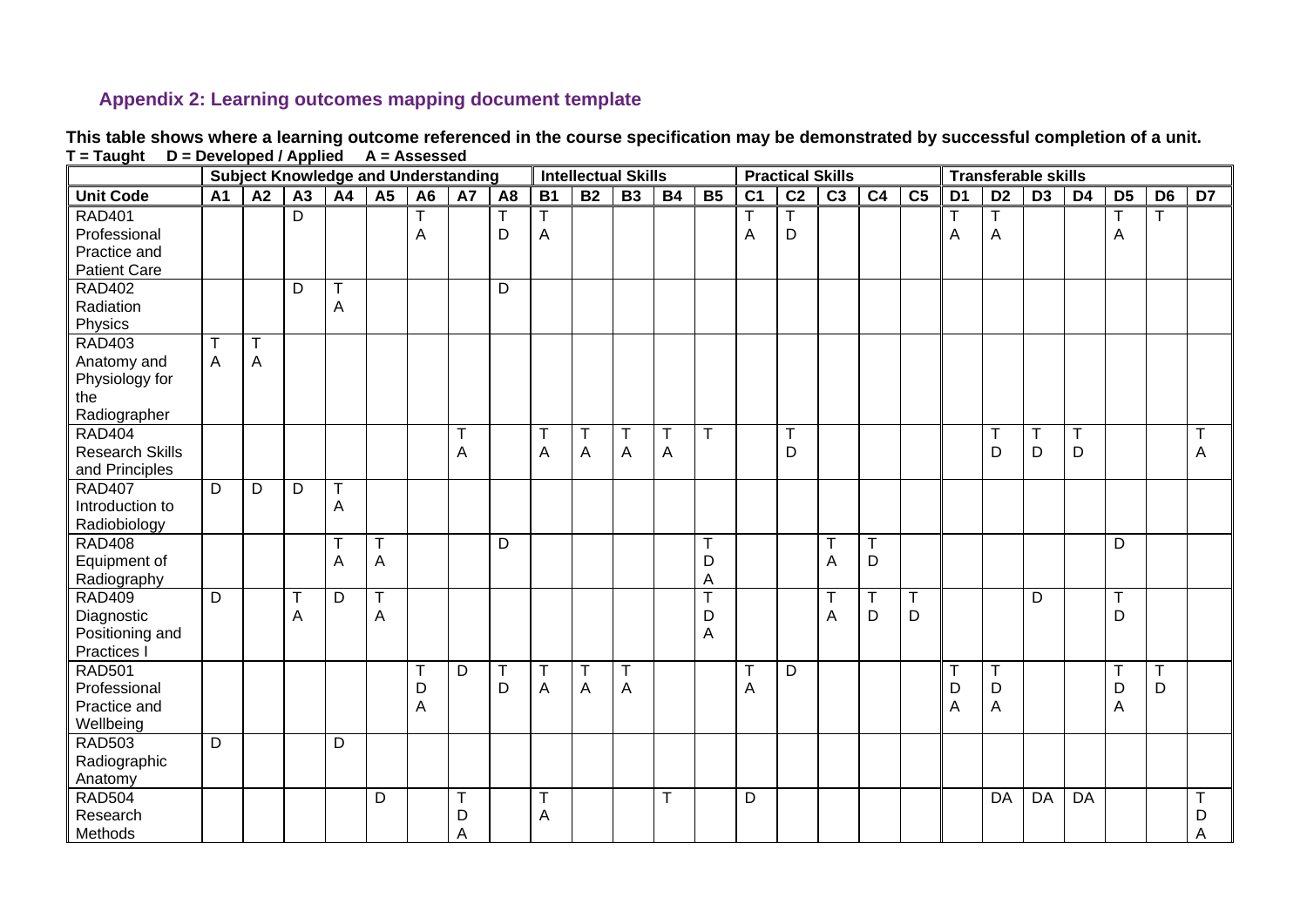# **Appendix 2: Learning outcomes mapping document template**

<span id="page-12-0"></span>

|                                                                       |                | <b>Subject Knowledge and Understanding</b> |                   |                  |                           |                |             |                |                 |                  | <b>Intellectual Skills</b> |                  |             |                |                              | <b>Practical Skills</b> |                |                 |                |                   |                 | <b>Transferable skills</b> |                  |                              |                 |  |  |
|-----------------------------------------------------------------------|----------------|--------------------------------------------|-------------------|------------------|---------------------------|----------------|-------------|----------------|-----------------|------------------|----------------------------|------------------|-------------|----------------|------------------------------|-------------------------|----------------|-----------------|----------------|-------------------|-----------------|----------------------------|------------------|------------------------------|-----------------|--|--|
| <b>Unit Code</b>                                                      | A <sub>1</sub> | $\overline{A2}$                            | A3                | A4               | A5                        | A <sub>6</sub> | A7          | A <sub>8</sub> | $\overline{B1}$ | B <sub>2</sub>   | B3                         | B4               | <b>B5</b>   | C <sub>1</sub> | $\overline{C2}$              | $\overline{C3}$         | C <sub>4</sub> | $\overline{C5}$ | D <sub>1</sub> | $\overline{D2}$   | $\overline{D3}$ | D <sub>4</sub>             | $\overline{D5}$  | $\overline{D6}$              | $\overline{D7}$ |  |  |
| <b>RAD401</b><br>Professional<br>Practice and<br><b>Patient Care</b>  |                |                                            | D                 |                  |                           | A              |             | Т<br>D         | A               |                  |                            |                  |             | A              | Τ<br>D                       |                         |                |                 | A              | T<br>A            |                 |                            | Τ<br>A           | т                            |                 |  |  |
| <b>RAD402</b><br>Radiation<br>Physics                                 |                |                                            | D                 | $\mathsf T$<br>A |                           |                |             | D              |                 |                  |                            |                  |             |                |                              |                         |                |                 |                |                   |                 |                            |                  |                              |                 |  |  |
| <b>RAD403</b><br>Anatomy and<br>Physiology for<br>the<br>Radiographer | T<br>A         | $\overline{\mathsf{T}}$<br>A               |                   |                  |                           |                |             |                |                 |                  |                            |                  |             |                |                              |                         |                |                 |                |                   |                 |                            |                  |                              |                 |  |  |
| <b>RAD404</b><br><b>Research Skills</b><br>and Principles             |                |                                            |                   |                  |                           |                | $\top$<br>Α |                | $\top$<br>A     | T<br>A           | $\mathsf T$<br>Α           | $\mathsf T$<br>A | $\mathsf T$ |                | $\overline{\mathsf{T}}$<br>D |                         |                |                 |                | $\mathsf{T}$<br>D | т<br>D          | T<br>D                     |                  |                              | T<br>A          |  |  |
| <b>RAD407</b><br>Introduction to<br>Radiobiology                      | D              | D                                          | $\overline{D}$    | T<br>A           |                           |                |             |                |                 |                  |                            |                  |             |                |                              |                         |                |                 |                |                   |                 |                            |                  |                              |                 |  |  |
| <b>RAD408</b><br>Equipment of<br>Radiography                          |                |                                            |                   | T<br>A           | $\boldsymbol{\mathsf{A}}$ |                |             | D              |                 |                  |                            |                  | D<br>A      |                |                              | T<br>A                  | T<br>D         |                 |                |                   |                 |                            | D                |                              |                 |  |  |
| <b>RAD409</b><br>Diagnostic<br>Positioning and<br>Practices I         | $\mathsf{D}$   |                                            | $\mathsf{T}$<br>A | D                | Τ<br>A                    |                |             |                |                 |                  |                            |                  | D<br>A      |                |                              | T<br>A                  | т<br>D         | T<br>D          |                |                   | D               |                            | $\mathsf T$<br>D |                              |                 |  |  |
| <b>RAD501</b><br>Professional<br>Practice and<br>Wellbeing            |                |                                            |                   |                  |                           | T<br>D<br>A    | D           | T<br>D         | $\top$<br>A     | T<br>$\mathsf A$ | $\mathsf{T}$<br>A          |                  |             | T<br>A         | D                            |                         |                |                 | T<br>D<br>Α    | T<br>D<br>A       |                 |                            | T<br>D<br>A      | $\overline{\mathsf{T}}$<br>D |                 |  |  |
| <b>RAD503</b><br>Radiographic<br>Anatomy                              | D              |                                            |                   | D                |                           |                |             |                |                 |                  |                            |                  |             |                |                              |                         |                |                 |                |                   |                 |                            |                  |                              |                 |  |  |
| <b>RAD504</b><br>Research<br>Methods                                  |                |                                            |                   |                  | D                         |                | Т<br>D<br>A |                | Т<br>A          |                  |                            | Τ                |             | D              |                              |                         |                |                 |                | DA                | DA              | DA                         |                  |                              | Τ<br>D<br>Α     |  |  |

**This table shows where a learning outcome referenced in the course specification may be demonstrated by successful completion of a unit. T = Taught D = Developed / Applied A = Assessed**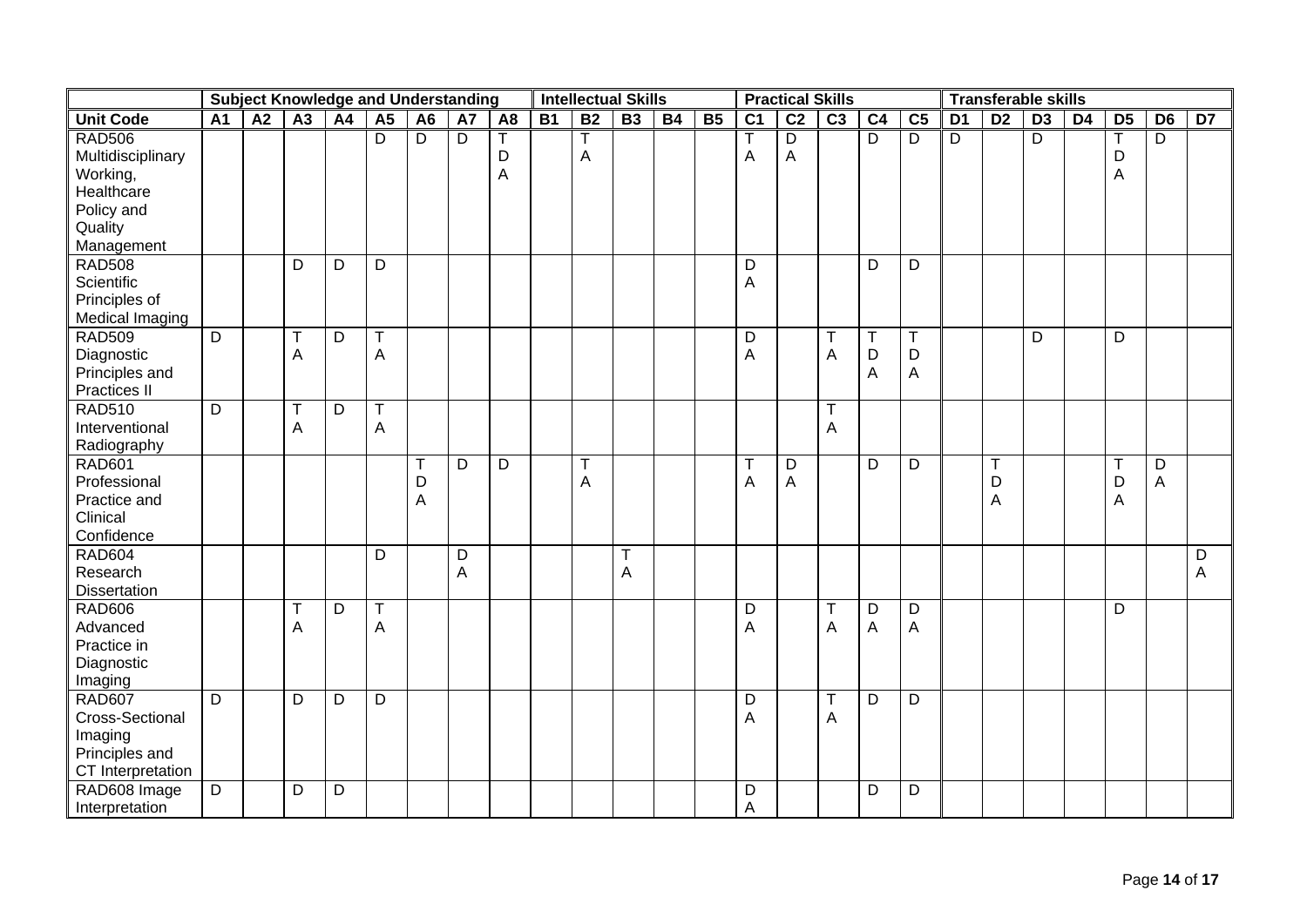|                                                                                                     | <b>Subject Knowledge and Understanding</b> |    |                            |    |                  |                         |                |                |           | <b>Intellectual Skills</b> |                  |           |                | <b>Practical Skills</b> |                                |                  |                       |                                |                | <b>Transferable skills</b> |                 |                |                  |                                |                 |
|-----------------------------------------------------------------------------------------------------|--------------------------------------------|----|----------------------------|----|------------------|-------------------------|----------------|----------------|-----------|----------------------------|------------------|-----------|----------------|-------------------------|--------------------------------|------------------|-----------------------|--------------------------------|----------------|----------------------------|-----------------|----------------|------------------|--------------------------------|-----------------|
| <b>Unit Code</b>                                                                                    | $\overline{A1}$                            | A2 | $\overline{A3}$            | A4 | A5               | A <sub>6</sub>          | A7             | A <sub>8</sub> | <b>B1</b> | B <sub>2</sub>             | $\overline{B3}$  | <b>B4</b> | B <sub>5</sub> | $\overline{C1}$         | $\overline{C2}$                | C <sub>3</sub>   | C <sub>4</sub>        | C <sub>5</sub>                 | D <sub>1</sub> | $\overline{D2}$            | $\overline{D3}$ | D <sub>4</sub> | D <sub>5</sub>   | $\overline{D6}$                | $\overline{D7}$ |
| <b>RAD506</b><br>Multidisciplinary<br>Working,<br>Healthcare<br>Policy and<br>Quality<br>Management |                                            |    |                            |    | $\overline{D}$   | $\overline{\mathsf{D}}$ | $\overline{D}$ | D<br>A         |           | A                          |                  |           |                | $\overline{A}$          | $\overline{D}$<br>$\mathsf{A}$ |                  | $\overline{D}$        | $\overline{D}$                 | $\overline{D}$ |                            | $\overline{D}$  |                | Т<br>D<br>A      | $\overline{D}$                 |                 |
| <b>RAD508</b><br>Scientific<br>Principles of<br>Medical Imaging                                     |                                            |    | D                          | D  | D                |                         |                |                |           |                            |                  |           |                | D<br>$\mathsf A$        |                                |                  | D                     | D                              |                |                            |                 |                |                  |                                |                 |
| <b>RAD509</b><br>Diagnostic<br>Principles and<br>Practices II                                       | $\overline{D}$                             |    | $\mathsf T$<br>A           | D  | $\mathsf T$<br>Α |                         |                |                |           |                            |                  |           |                | D<br>A                  |                                | T<br>A           | $\mathsf T$<br>D<br>A | T<br>D<br>A                    |                |                            | D               |                | D                |                                |                 |
| <b>RAD510</b><br>Interventional<br>Radiography                                                      | D                                          |    | $\mathsf T$<br>$\mathsf A$ | D  | $\top$<br>A      |                         |                |                |           |                            |                  |           |                |                         |                                | $\mathsf T$<br>A |                       |                                |                |                            |                 |                |                  |                                |                 |
| <b>RAD601</b><br>Professional<br>Practice and<br>Clinical<br>Confidence                             |                                            |    |                            |    |                  | T<br>D<br>A             | D              | D              |           | T<br>A                     |                  |           |                | $\top$<br>A             | D<br>$\boldsymbol{\mathsf{A}}$ |                  | D                     | D                              |                | $\top$<br>D<br>A           |                 |                | $\top$<br>D<br>A | D<br>$\boldsymbol{\mathsf{A}}$ |                 |
| <b>RAD604</b><br>Research<br>Dissertation                                                           |                                            |    |                            |    | D                |                         | D<br>A         |                |           |                            | $\mathsf T$<br>A |           |                |                         |                                |                  |                       |                                |                |                            |                 |                |                  |                                | D<br>A          |
| <b>RAD606</b><br>Advanced<br>Practice in<br>Diagnostic<br>Imaging                                   |                                            |    | $\mathsf T$<br>A           | D  | $\mathsf T$<br>A |                         |                |                |           |                            |                  |           |                | D<br>A                  |                                | T<br>A           | D<br>A                | D<br>$\boldsymbol{\mathsf{A}}$ |                |                            |                 |                | D                |                                |                 |
| <b>RAD607</b><br>Cross-Sectional<br>Imaging<br>Principles and<br>CT Interpretation                  | $\overline{D}$                             |    | D                          | D  | D                |                         |                |                |           |                            |                  |           |                | D<br>A                  |                                | $\mathsf T$<br>A | D                     | D                              |                |                            |                 |                |                  |                                |                 |
| RAD608 Image<br>Interpretation                                                                      | $\overline{D}$                             |    | D                          | D  |                  |                         |                |                |           |                            |                  |           |                | D<br>$\overline{A}$     |                                |                  | D                     | D                              |                |                            |                 |                |                  |                                |                 |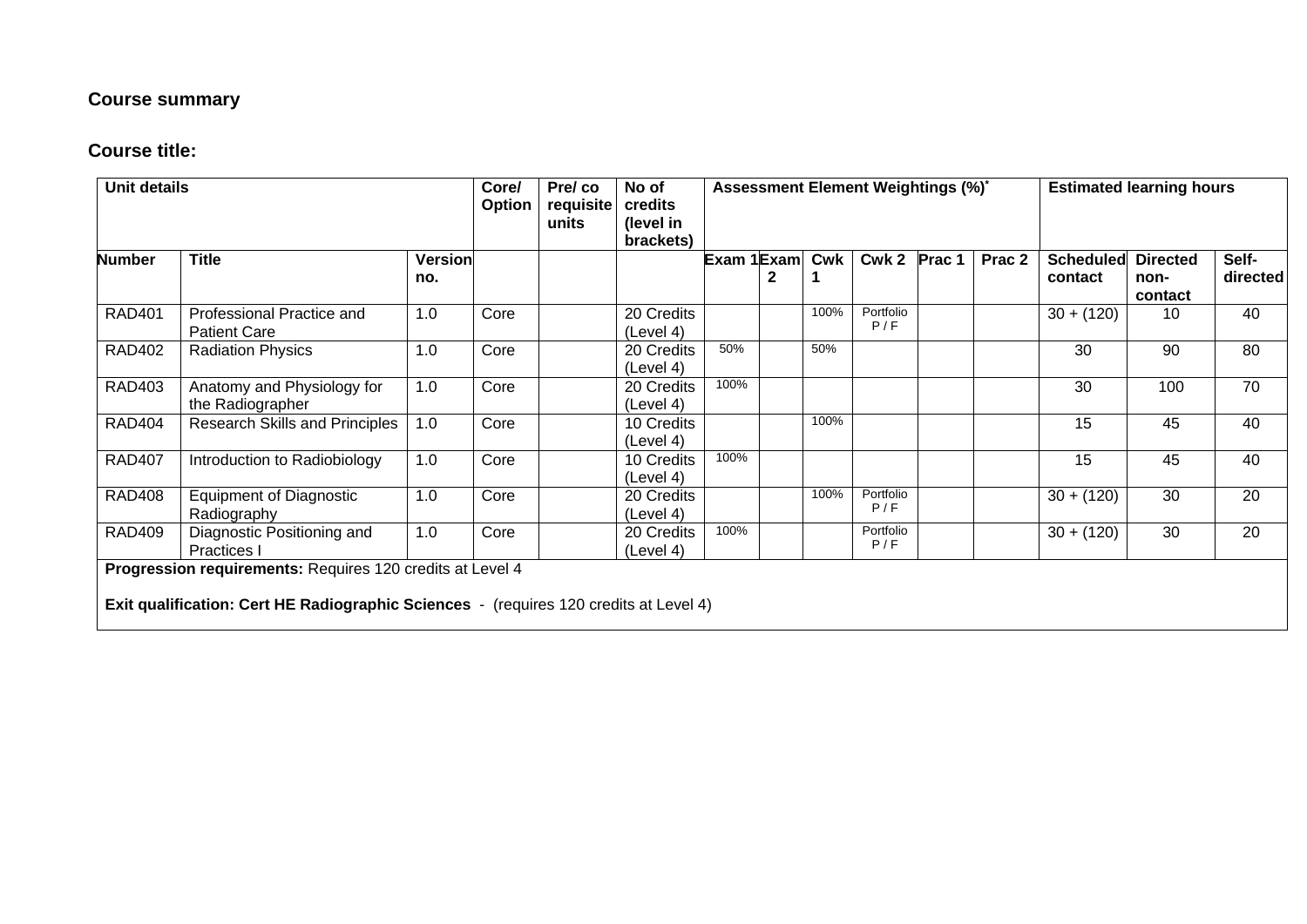# **Course summary**

# **Course title:**

| <b>Unit details</b> |                                                                                                                                                           | Core/<br><b>Option</b> | Pre/co<br>requisite<br>units | No of<br>credits<br>(level in<br>brackets) |                         |             |   | Assessment Element Weightings (%)* | <b>Estimated learning hours</b> |              |        |                             |                                    |                   |
|---------------------|-----------------------------------------------------------------------------------------------------------------------------------------------------------|------------------------|------------------------------|--------------------------------------------|-------------------------|-------------|---|------------------------------------|---------------------------------|--------------|--------|-----------------------------|------------------------------------|-------------------|
| <b>Number</b>       | <b>Title</b>                                                                                                                                              | <b>Version</b><br>no.  |                              |                                            |                         | Exam 1Examl | 2 | Cwk                                |                                 | Cwk 2 Prac 1 | Prac 2 | <b>Scheduled</b><br>contact | <b>Directed</b><br>non-<br>contact | Self-<br>directed |
| <b>RAD401</b>       | Professional Practice and<br><b>Patient Care</b>                                                                                                          | 1.0                    | Core                         |                                            | 20 Credits<br>(Level 4) |             |   | 100%                               | Portfolio<br>P/F                |              |        | $30 + (120)$                | 10                                 | 40                |
| <b>RAD402</b>       | <b>Radiation Physics</b>                                                                                                                                  | 1.0                    | Core                         |                                            | 20 Credits<br>(Level 4) | 50%         |   | 50%                                |                                 |              |        | 30                          | 90                                 | 80                |
| <b>RAD403</b>       | Anatomy and Physiology for<br>the Radiographer                                                                                                            | 1.0                    | Core                         |                                            | 20 Credits<br>(Level 4) | 100%        |   |                                    |                                 |              |        | 30                          | 100                                | $\overline{70}$   |
| <b>RAD404</b>       | Research Skills and Principles                                                                                                                            | 1.0                    | Core                         |                                            | 10 Credits<br>(Level 4) |             |   | 100%                               |                                 |              |        | 15                          | 45                                 | 40                |
| <b>RAD407</b>       | Introduction to Radiobiology                                                                                                                              | 1.0                    | Core                         |                                            | 10 Credits<br>(Level 4) | 100%        |   |                                    |                                 |              |        | 15                          | 45                                 | 40                |
| <b>RAD408</b>       | Equipment of Diagnostic<br>Radiography                                                                                                                    | 1.0                    | Core                         |                                            | 20 Credits<br>(Level 4) |             |   | 100%                               | Portfolio<br>P/F                |              |        | $30 + (120)$                | 30                                 | 20                |
| <b>RAD409</b>       | Diagnostic Positioning and<br><b>Practices</b> I                                                                                                          | 1.0                    | Core                         |                                            | 20 Credits<br>(Level 4) | 100%        |   |                                    | Portfolio<br>P/F                |              |        | $30 + (120)$                | 30                                 | 20                |
|                     | Progression requirements: Requires 120 credits at Level 4<br><b>Exit qualification: Cert HE Radiographic Sciences</b> - (requires 120 credits at Level 4) |                        |                              |                                            |                         |             |   |                                    |                                 |              |        |                             |                                    |                   |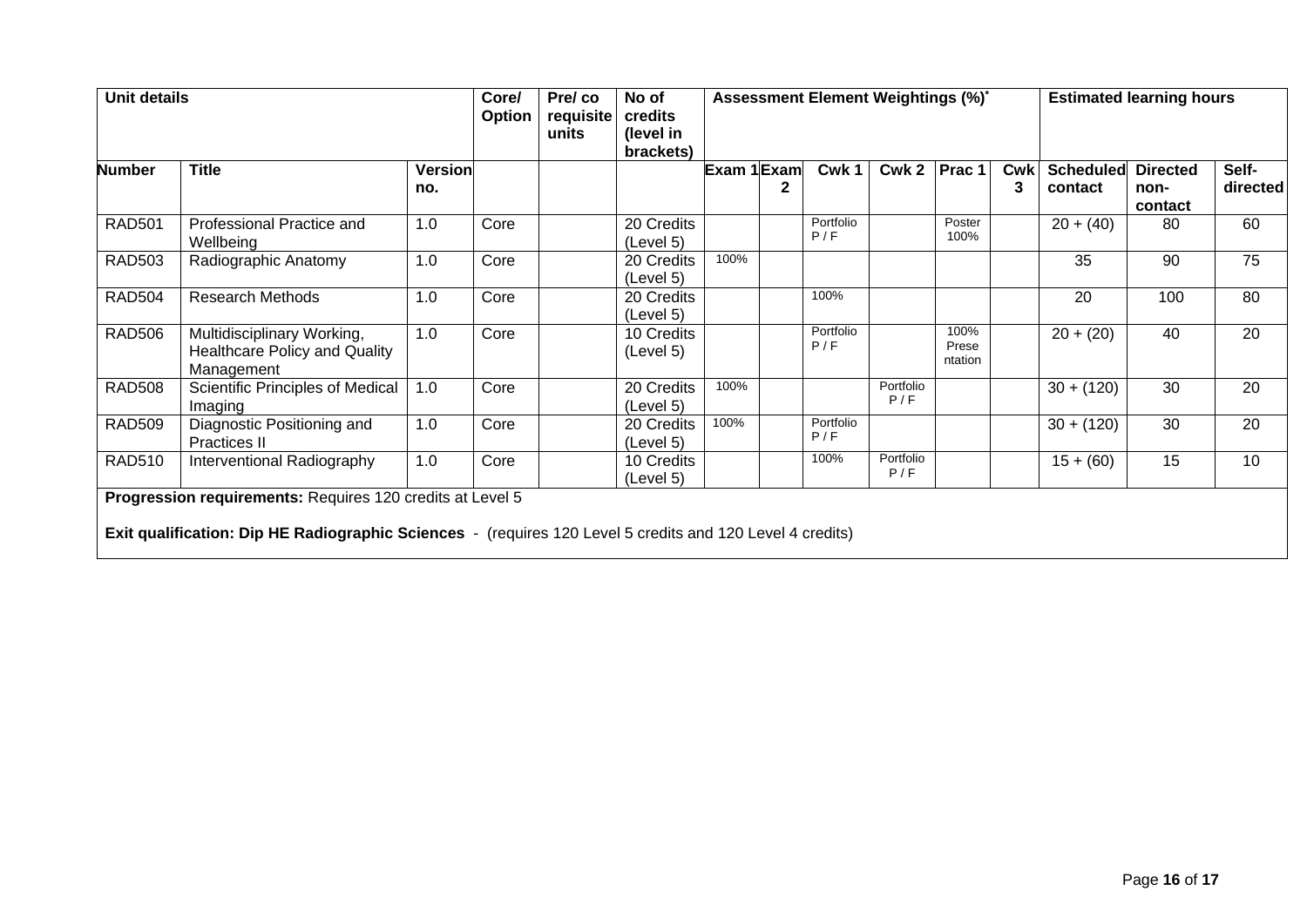| <b>Unit details</b> |                                                                                                                                                                        | Core/<br>Option       | Pre/co<br>requisite<br>units | No of<br>credits<br>(level in<br>brackets) |                         | Assessment Element Weightings (%)* |                  |                  | <b>Estimated learning hours</b> |            |                             |                                    |                   |
|---------------------|------------------------------------------------------------------------------------------------------------------------------------------------------------------------|-----------------------|------------------------------|--------------------------------------------|-------------------------|------------------------------------|------------------|------------------|---------------------------------|------------|-----------------------------|------------------------------------|-------------------|
| <b>Number</b>       | <b>Title</b>                                                                                                                                                           | <b>Version</b><br>no. |                              |                                            |                         | Exam 1 Exam                        | Cwk 1            | Cwk <sub>2</sub> | Prac 1                          | <b>Cwk</b> | <b>Scheduled</b><br>contact | <b>Directed</b><br>non-<br>contact | Self-<br>directed |
| <b>RAD501</b>       | Professional Practice and<br>Wellbeing                                                                                                                                 | 1.0                   | Core                         |                                            | 20 Credits<br>(Level 5) |                                    | Portfolio<br>P/F |                  | Poster<br>100%                  |            | $20 + (40)$                 | 80                                 | 60                |
| <b>RAD503</b>       | Radiographic Anatomy                                                                                                                                                   | 1.0                   | Core                         |                                            | 20 Credits<br>(Level 5) | 100%                               |                  |                  |                                 |            | 35                          | 90                                 | 75                |
| <b>RAD504</b>       | <b>Research Methods</b>                                                                                                                                                | 1.0                   | Core                         |                                            | 20 Credits<br>(Level 5) |                                    | 100%             |                  |                                 |            | 20                          | 100                                | 80                |
| <b>RAD506</b>       | Multidisciplinary Working,<br>Healthcare Policy and Quality<br>Management                                                                                              | 1.0                   | Core                         |                                            | 10 Credits<br>(Level 5) |                                    | Portfolio<br>P/F |                  | 100%<br>Prese<br>ntation        |            | $20 + (20)$                 | 40                                 | 20                |
| <b>RAD508</b>       | Scientific Principles of Medical<br>Imaging                                                                                                                            | 1.0                   | Core                         |                                            | 20 Credits<br>(Level 5) | 100%                               |                  | Portfolio<br>P/F |                                 |            | $30 + (120)$                | 30                                 | 20                |
| <b>RAD509</b>       | Diagnostic Positioning and<br><b>Practices II</b>                                                                                                                      | 1.0                   | Core                         |                                            | 20 Credits<br>(Level 5) | 100%                               | Portfolio<br>P/F |                  |                                 |            | $30 + (120)$                | 30                                 | 20                |
| <b>RAD510</b>       | Interventional Radiography                                                                                                                                             | 1.0                   | Core                         |                                            | 10 Credits<br>(Level 5) |                                    | 100%             | Portfolio<br>P/F |                                 |            | $15 + (60)$                 | 15                                 | 10                |
|                     | Progression requirements: Requires 120 credits at Level 5<br>Exit qualification: Dip HE Radiographic Sciences - (requires 120 Level 5 credits and 120 Level 4 credits) |                       |                              |                                            |                         |                                    |                  |                  |                                 |            |                             |                                    |                   |